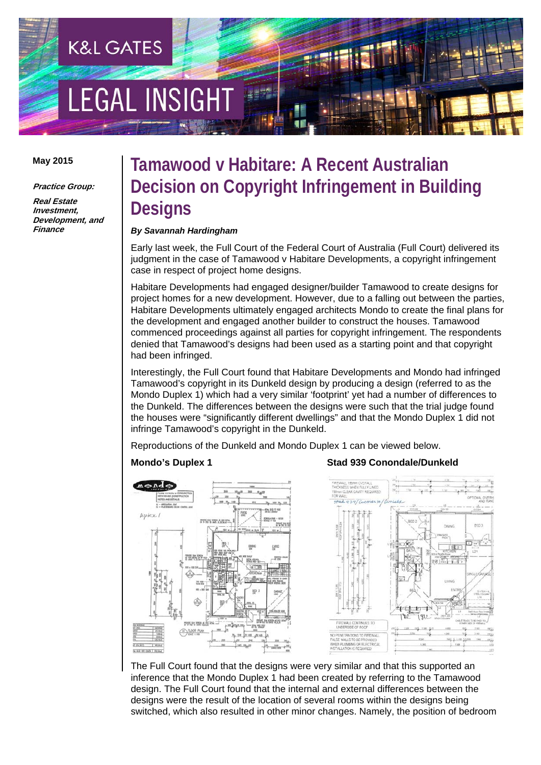# **LEGAL INSIGH**

**K&L GATES** 

#### **May 2015**

**Practice Group:** 

**Real Estate Investment, Development, and Finance** 

## **Tamawood v Habitare: A Recent Australian Decision on Copyright Infringement in Building Designs**

#### *By Savannah Hardingham*

Early last week, the Full Court of the Federal Court of Australia (Full Court) delivered its judgment in the case of Tamawood v Habitare Developments, a copyright infringement case in respect of project home designs.

Habitare Developments had engaged designer/builder Tamawood to create designs for project homes for a new development. However, due to a falling out between the parties, Habitare Developments ultimately engaged architects Mondo to create the final plans for the development and engaged another builder to construct the houses. Tamawood commenced proceedings against all parties for copyright infringement. The respondents denied that Tamawood's designs had been used as a starting point and that copyright had been infringed.

Interestingly, the Full Court found that Habitare Developments and Mondo had infringed Tamawood's copyright in its Dunkeld design by producing a design (referred to as the Mondo Duplex 1) which had a very similar 'footprint' yet had a number of differences to the Dunkeld. The differences between the designs were such that the trial judge found the houses were "significantly different dwellings" and that the Mondo Duplex 1 did not infringe Tamawood's copyright in the Dunkeld.

Reproductions of the Dunkeld and Mondo Duplex 1 can be viewed below.



#### **Mondo's Duplex 1 Stad 939 Conondale/Dunkeld**



The Full Court found that the designs were very similar and that this supported an inference that the Mondo Duplex 1 had been created by referring to the Tamawood design. The Full Court found that the internal and external differences between the designs were the result of the location of several rooms within the designs being switched, which also resulted in other minor changes. Namely, the position of bedroom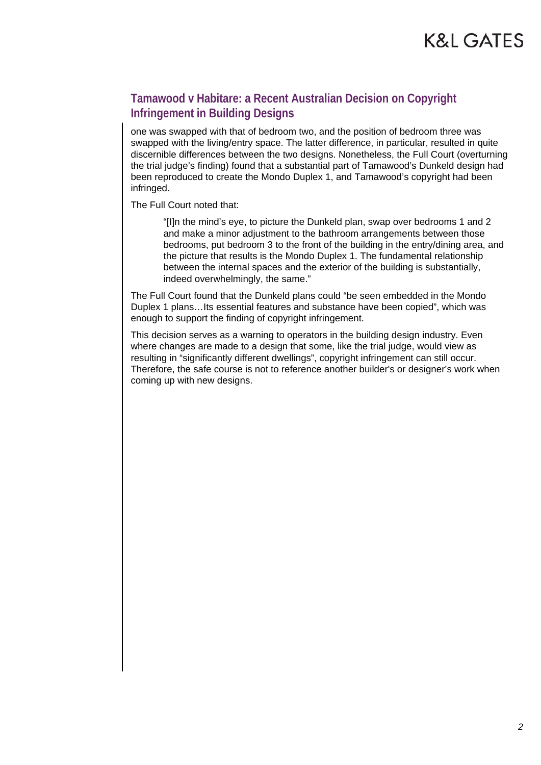### **Tamawood v Habitare: a Recent Australian Decision on Copyright Infringement in Building Designs**

one was swapped with that of bedroom two, and the position of bedroom three was swapped with the living/entry space. The latter difference, in particular, resulted in quite discernible differences between the two designs. Nonetheless, the Full Court (overturning the trial judge's finding) found that a substantial part of Tamawood's Dunkeld design had been reproduced to create the Mondo Duplex 1, and Tamawood's copyright had been infringed.

The Full Court noted that:

"[I]n the mind's eye, to picture the Dunkeld plan, swap over bedrooms 1 and 2 and make a minor adjustment to the bathroom arrangements between those bedrooms, put bedroom 3 to the front of the building in the entry/dining area, and the picture that results is the Mondo Duplex 1. The fundamental relationship between the internal spaces and the exterior of the building is substantially, indeed overwhelmingly, the same."

The Full Court found that the Dunkeld plans could "be seen embedded in the Mondo Duplex 1 plans…Its essential features and substance have been copied", which was enough to support the finding of copyright infringement.

This decision serves as a warning to operators in the building design industry. Even where changes are made to a design that some, like the trial judge, would view as resulting in "significantly different dwellings", copyright infringement can still occur. Therefore, the safe course is not to reference another builder's or designer's work when coming up with new designs.